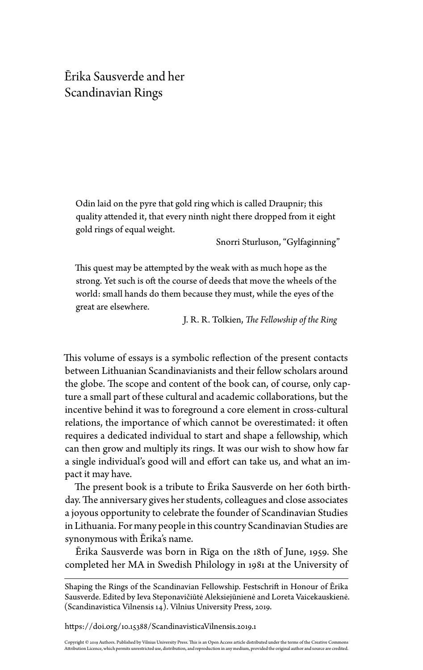## Ērika Sausverde and her Scandinavian Rings

Odin laid on the pyre that gold ring which is called Draupnir; this quality attended it, that every ninth night there dropped from it eight gold rings of equal weight.

Snorri Sturluson, "Gylfaginning"

This quest may be attempted by the weak with as much hope as the strong. Yet such is oft the course of deeds that move the wheels of the world: small hands do them because they must, while the eyes of the great are elsewhere.

J. R. R. Tolkien, *The Fellowship of the Ring*

This volume of essays is a symbolic reflection of the present contacts between Lithuanian Scandinavianists and their fellow scholars around the globe. The scope and content of the book can, of course, only capture a small part of these cultural and academic collaborations, but the incentive behind it was to foreground a core element in cross-cultural relations, the importance of which cannot be overestimated: it often requires a dedicated individual to start and shape a fellowship, which can then grow and multiply its rings. It was our wish to show how far a single individual's good will and effort can take us, and what an impact it may have.

The present book is a tribute to Ērika Sausverde on her 60th birthday. The anniversary gives her students, colleagues and close associates a joyous opportunity to celebrate the founder of Scandinavian Studies in Lithuania. For many people in this country Scandinavian Studies are synonymous with Ērika's name.

Ērika Sausverde was born in Rīga on the 18th of June, 1959. She completed her MA in Swedish Philology in 1981 at the University of

https://doi.org/10.15388/ScandinavisticaVilnensis.2019.1

Shaping the Rings of the Scandinavian Fellowship. Festschrift in Honour of Ērika Sausverde. Edited by Ieva Steponavičiūtė Aleksiejūnienė and Loreta Vaicekauskienė. [\(Scandinavistica Vilnensis](http://www.journals.vu.lt/scandinavistica/) 14). [Vilnius University Press,](https://www.vu.lt/leidyba/en/) 2019.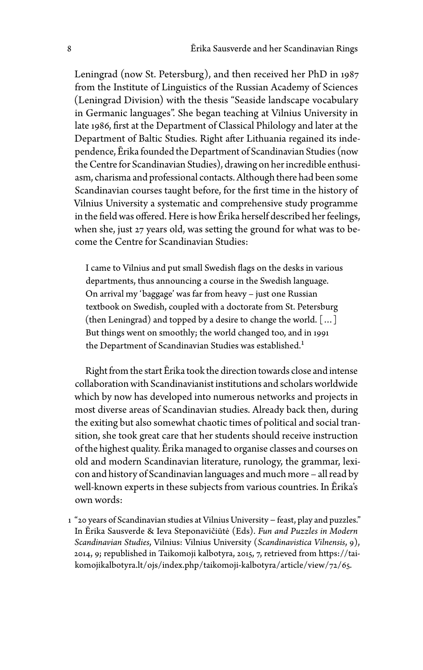Leningrad (now St. Petersburg), and then received her PhD in 1987 from the Institute of Linguistics of the Russian Academy of Sciences (Leningrad Division) with the thesis "Seaside landscape vocabulary in Germanic languages". She began teaching at Vilnius University in late 1986, first at the Department of Classical Philology and later at the Department of Baltic Studies. Right after Lithuania regained its independence, Ērika founded the Department of Scandinavian Studies (now the Centre for Scandinavian Studies), drawing on her incredible enthusiasm, charisma and professional contacts. Although there had been some Scandinavian courses taught before, for the first time in the history of Vilnius University a systematic and comprehensive study programme in the field was offered. Here is how Ērika herself described her feelings, when she, just 27 years old, was setting the ground for what was to become the Centre for Scandinavian Studies:

I came to Vilnius and put small Swedish flags on the desks in various departments, thus announcing a course in the Swedish language. On arrival my 'baggage' was far from heavy – just one Russian textbook on Swedish, coupled with a doctorate from St. Petersburg (then Leningrad) and topped by a desire to change the world. […] But things went on smoothly; the world changed too, and in 1991 the Department of Scandinavian Studies was established.<sup>1</sup>

Right from the start Ērika took the direction towards close and intense collaboration with Scandinavianist institutions and scholars worldwide which by now has developed into numerous networks and projects in most diverse areas of Scandinavian studies. Already back then, during the exiting but also somewhat chaotic times of political and social transition, she took great care that her students should receive instruction of the highest quality. Ērika managed to organise classes and courses on old and modern Scandinavian literature, runology, the grammar, lexicon and history of Scandinavian languages and much more – all read by well-known experts in these subjects from various countries. In Ērika's own words:

1 "20 years of Scandinavian studies at Vilnius University − feast, play and puzzles." In Ērika Sausverde & Ieva Steponavičiūtė (Eds). *Fun and Puzzles in Modern Scandinavian Studies*, Vilnius: Vilnius University (*Scandinavistica Vilnensis*, 9), 2014, 9; republished in Taikomoji kalbotyra, 2015, 7, retrieved from https://taikomojikalbotyra.lt/ojs/index.php/taikomoji-kalbotyra/article/view/72/65.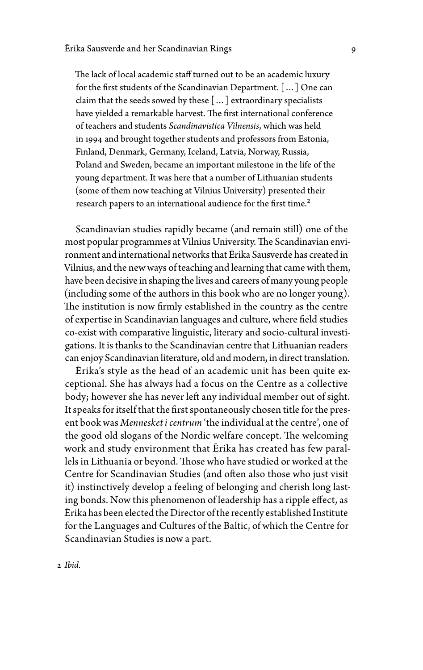The lack of local academic staff turned out to be an academic luxury for the first students of the Scandinavian Department. […] One can claim that the seeds sowed by these […] extraordinary specialists have yielded a remarkable harvest. The first international conference of teachers and students *Scandinavistica Vilnensis*, which was held in 1994 and brought together students and professors from Estonia, Finland, Denmark, Germany, Iceland, Latvia, Norway, Russia, Poland and Sweden, became an important milestone in the life of the young department. It was here that a number of Lithuanian students (some of them now teaching at Vilnius University) presented their research papers to an international audience for the first time.<sup>2</sup>

Scandinavian studies rapidly became (and remain still) one of the most popular programmes at Vilnius University. The Scandinavian environment and international networks that Ērika Sausverde has created in Vilnius, and the new ways of teaching and learning that came with them, have been decisive in shaping the lives and careers of many young people (including some of the authors in this book who are no longer young). The institution is now firmly established in the country as the centre of expertise in Scandinavian languages and culture, where field studies co-exist with comparative linguistic, literary and socio-cultural investigations. It is thanks to the Scandinavian centre that Lithuanian readers can enjoy Scandinavian literature, old and modern, in direct translation.

Ērika's style as the head of an academic unit has been quite exceptional. She has always had a focus on the Centre as a collective body; however she has never left any individual member out of sight. It speaks for itself that the first spontaneously chosen title for the present book was *Mennesket i centrum* 'the individual at the centre', one of the good old slogans of the Nordic welfare concept. The welcoming work and study environment that Ērika has created has few parallels in Lithuania or beyond. Those who have studied or worked at the Centre for Scandinavian Studies (and often also those who just visit it) instinctively develop a feeling of belonging and cherish long lasting bonds. Now this phenomenon of leadership has a ripple effect, as Ērika has been elected the Director of the recently established Institute for the Languages and Cultures of the Baltic, of which the Centre for Scandinavian Studies is now a part.

2 *Ibid.*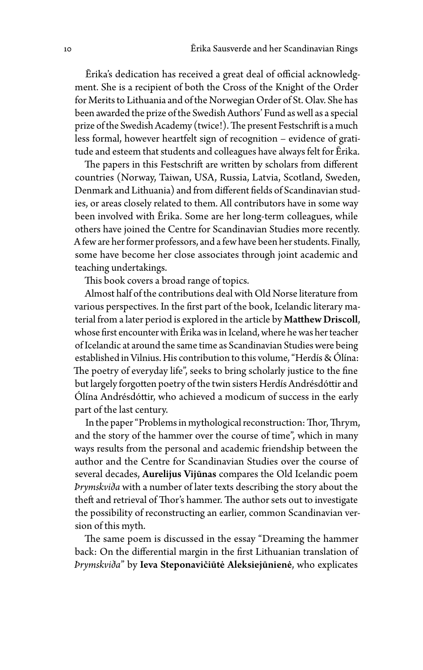Ērika's dedication has received a great deal of official acknowledgment. She is a recipient of both the Cross of the Knight of the Order for Merits to Lithuania and of the Norwegian Order of St. Olav. She has been awarded the prize of the Swedish Authors' Fund as well as a special prize of the Swedish Academy (twice!). The present Festschrift is a much less formal, however heartfelt sign of recognition – evidence of gratitude and esteem that students and colleagues have always felt for Ērika.

The papers in this Festschrift are written by scholars from different countries (Norway, Taiwan, USA, Russia, Latvia, Scotland, Sweden, Denmark and Lithuania) and from different fields of Scandinavian studies, or areas closely related to them. All contributors have in some way been involved with Ērika. Some are her long-term colleagues, while others have joined the Centre for Scandinavian Studies more recently. A few are her former professors, and a few have been her students. Finally, some have become her close associates through joint academic and teaching undertakings.

This book covers a broad range of topics.

Almost half of the contributions deal with Old Norse literature from various perspectives. In the first part of the book, Icelandic literary material from a later period is explored in the article by Matthew Driscoll, whose first encounter with Ērika was in Iceland, where he was her teacher of Icelandic at around the same time as Scandinavian Studies were being established in Vilnius. His contribution to this volume, "Herdís & Ólína: The poetry of everyday life", seeks to bring scholarly justice to the fine but largely forgotten poetry of the twin sisters Herdís Andrésdóttir and Ólína Andrésdóttir, who achieved a modicum of success in the early part of the last century.

In the paper "Problems in mythological reconstruction: Thor, Thrym, and the story of the hammer over the course of time", which in many ways results from the personal and academic friendship between the author and the Centre for Scandinavian Studies over the course of several decades, Aurelijus Vijūnas compares the Old Icelandic poem *Þrymskviða* with a number of later texts describing the story about the theft and retrieval of Thor's hammer. The author sets out to investigate the possibility of reconstructing an earlier, common Scandinavian version of this myth.

The same poem is discussed in the essay "Dreaming the hammer back: On the differential margin in the first Lithuanian translation of *Þrymskviða*" by Ieva Steponavičiūtė Aleksiejūnienė, who explicates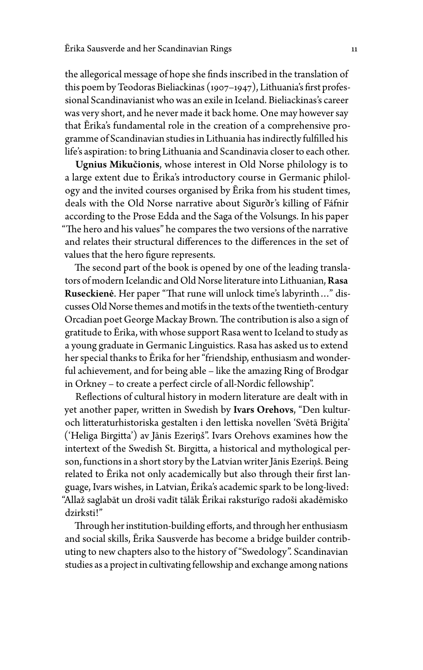the allegorical message of hope she finds inscribed in the translation of this poem by Teodoras Bieliackinas (1907–1947), Lithuania's first professional Scandinavianist who was an exile in Iceland. Bieliackinas's career was very short, and he never made it back home. One may however say that Ērika's fundamental role in the creation of a comprehensive programme of Scandinavian studies in Lithuania has indirectly fulfilled his life's aspiration: to bring Lithuania and Scandinavia closer to each other.

Ugnius Mikučionis, whose interest in Old Norse philology is to a large extent due to Ērika's introductory course in Germanic philology and the invited courses organised by Ērika from his student times, deals with the Old Norse narrative about Sigurðr's killing of Fáfnir according to the Prose Edda and the Saga of the Volsungs. In his paper "The hero and his values" he compares the two versions of the narrative and relates their structural differences to the differences in the set of values that the hero figure represents.

The second part of the book is opened by one of the leading translators of modern Icelandic and Old Norse literature into Lithuanian, Rasa Ruseckienė. Her paper "That rune will unlock time's labyrinth…" discusses Old Norse themes and motifs in the texts of the twentieth-century Orcadian poet George Mackay Brown. The contribution is also a sign of gratitude to Ērika, with whose support Rasa went to Iceland to study as a young graduate in Germanic Linguistics. Rasa has asked us to extend her special thanks to Ērika for her "friendship, enthusiasm and wonderful achievement, and for being able – like the amazing Ring of Brodgar in Orkney – to create a perfect circle of all-Nordic fellowship".

Reflections of cultural history in modern literature are dealt with in yet another paper, written in Swedish by Ivars Orehovs, "Den kulturoch litteraturhistoriska gestalten i den lettiska novellen 'Svētā Briģita' ('Heliga Birgitta') av Jānis Ezeriņš". Ivars Orehovs examines how the intertext of the Swedish St. Birgitta, a historical and mythological person, functions in a short story by the Latvian writer Jānis Ezeriņš. Being related to Ērika not only academically but also through their first language, Ivars wishes, in Latvian, Ērika's academic spark to be long-lived: "Allaž saglabāt un droši vadīt tālāk Ērikai raksturīgo radoši akadēmisko dzirksti!"

Through her institution-building efforts, and through her enthusiasm and social skills, Ērika Sausverde has become a bridge builder contributing to new chapters also to the history of "Swedology". Scandinavian studies as a project in cultivating fellowship and exchange among nations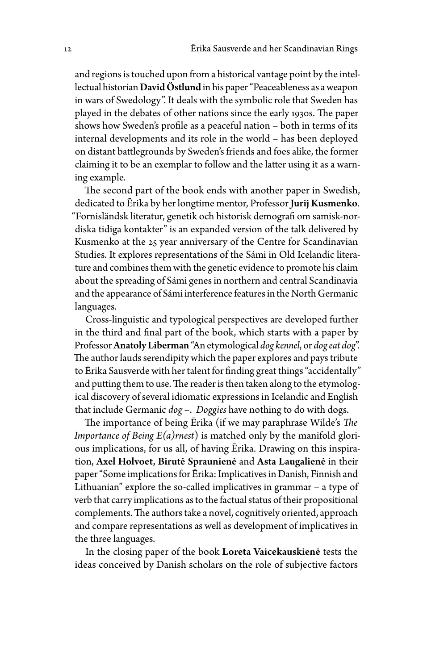and regions is touched upon from a historical vantage point by the intellectual historian David Östlund in his paper "Peaceableness as a weapon in wars of Swedology". It deals with the symbolic role that Sweden has played in the debates of other nations since the early 1930s. The paper shows how Sweden's profile as a peaceful nation – both in terms of its internal developments and its role in the world – has been deployed on distant battlegrounds by Sweden's friends and foes alike, the former claiming it to be an exemplar to follow and the latter using it as a warning example.

The second part of the book ends with another paper in Swedish, dedicated to Ērika by her longtime mentor, Professor Jurij Kusmenko. "Fornisländsk literatur, genetik och historisk demografi om samisk-nordiska tidiga kontakter" is an expanded version of the talk delivered by Kusmenko at the 25 year anniversary of the Centre for Scandinavian Studies. It explores representations of the Sámi in Old Icelandic literature and combines them with the genetic evidence to promote his claim about the spreading of Sámi genes in northern and central Scandinavia and the appearance of Sámi interference features in the North Germanic languages.

Cross-linguistic and typological perspectives are developed further in the third and final part of the book, which starts with a paper by Professor Anatoly Liberman "An etymological *dog kennel*, or *dog eat dog*". The author lauds serendipity which the paper explores and pays tribute to Ērika Sausverde with her talent for finding great things "accidentally" and putting them to use. The reader is then taken along to the etymological discovery of several idiomatic expressions in Icelandic and English that include Germanic *dog* –. *Doggies* have nothing to do with dogs.

The importance of being Ērika (if we may paraphrase Wilde's *The Importance of Being E(a)rnest*) is matched only by the manifold glorious implications, for us all, of having Ērika. Drawing on this inspiration, Axel Holvoet, Birutė Spraunienė and Asta Laugalienė in their paper "Some implications for Ērika: Implicatives in Danish, Finnish and Lithuanian" explore the so-called implicatives in grammar – a type of verb that carry implications as to the factual status of their propositional complements. The authors take a novel, cognitively oriented, approach and compare representations as well as development of implicatives in the three languages.

In the closing paper of the book Loreta Vaicekauskienė tests the ideas conceived by Danish scholars on the role of subjective factors